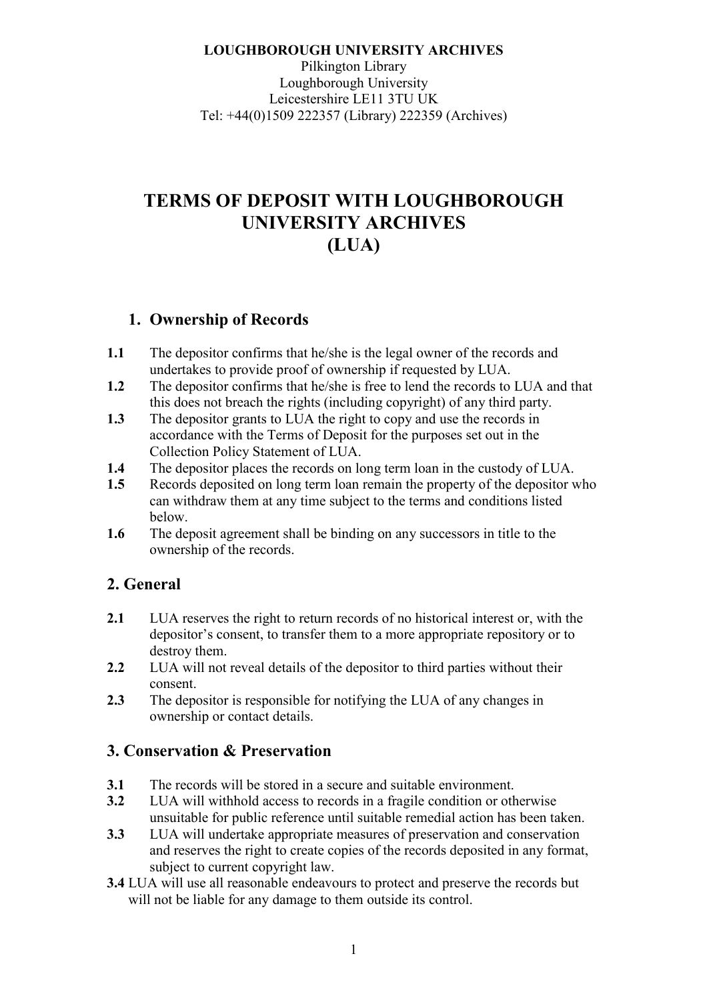**LOUGHBOROUGH UNIVERSITY ARCHIVES**  Pilkington Library Loughborough University Leicestershire LE11 3TU UK Tel: +44(0)1509 222357 (Library) 222359 (Archives)

# **TERMS OF DEPOSIT WITH LOUGHBOROUGH UNIVERSITY ARCHIVES (LUA)**

#### **1. Ownership of Records**

- **1.1** The depositor confirms that he/she is the legal owner of the records and undertakes to provide proof of ownership if requested by LUA.
- **1.2** The depositor confirms that he/she is free to lend the records to LUA and that this does not breach the rights (including copyright) of any third party.
- **1.3** The depositor grants to LUA the right to copy and use the records in accordance with the Terms of Deposit for the purposes set out in the Collection Policy Statement of LUA.
- **1.4** The depositor places the records on long term loan in the custody of LUA.
- **1.5** Records deposited on long term loan remain the property of the depositor who can withdraw them at any time subject to the terms and conditions listed below.
- **1.6** The deposit agreement shall be binding on any successors in title to the ownership of the records.

### **2. General**

- **2.1** LUA reserves the right to return records of no historical interest or, with the depositor's consent, to transfer them to a more appropriate repository or to destroy them.
- **2.2** LUA will not reveal details of the depositor to third parties without their consent.
- **2.3** The depositor is responsible for notifying the LUA of any changes in ownership or contact details.

### **3. Conservation & Preservation**

- **3.1** The records will be stored in a secure and suitable environment.
- **3.2** LUA will withhold access to records in a fragile condition or otherwise unsuitable for public reference until suitable remedial action has been taken.
- **3.3** LUA will undertake appropriate measures of preservation and conservation and reserves the right to create copies of the records deposited in any format, subject to current copyright law.
- **3.4** LUA will use all reasonable endeavours to protect and preserve the records but will not be liable for any damage to them outside its control.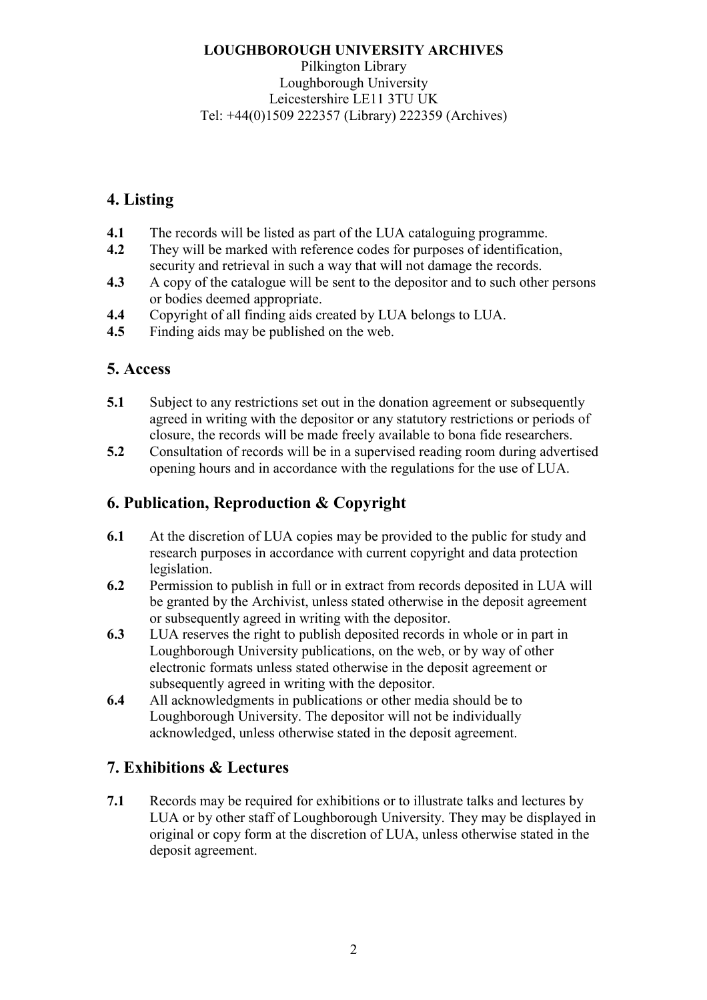#### **LOUGHBOROUGH UNIVERSITY ARCHIVES**  Pilkington Library Loughborough University Leicestershire LE11 3TU UK Tel: +44(0)1509 222357 (Library) 222359 (Archives)

# **4. Listing**

- **4.1** The records will be listed as part of the LUA cataloguing programme.
- **4.2** They will be marked with reference codes for purposes of identification, security and retrieval in such a way that will not damage the records.
- **4.3** A copy of the catalogue will be sent to the depositor and to such other persons or bodies deemed appropriate.
- **4.4** Copyright of all finding aids created by LUA belongs to LUA.
- **4.5** Finding aids may be published on the web.

### **5. Access**

- **5.1** Subject to any restrictions set out in the donation agreement or subsequently agreed in writing with the depositor or any statutory restrictions or periods of closure, the records will be made freely available to bona fide researchers.
- **5.2** Consultation of records will be in a supervised reading room during advertised opening hours and in accordance with the regulations for the use of LUA.

### **6. Publication, Reproduction & Copyright**

- **6.1** At the discretion of LUA copies may be provided to the public for study and research purposes in accordance with current copyright and data protection **legislation**
- **6.2** Permission to publish in full or in extract from records deposited in LUA will be granted by the Archivist, unless stated otherwise in the deposit agreement or subsequently agreed in writing with the depositor.
- **6.3** LUA reserves the right to publish deposited records in whole or in part in Loughborough University publications, on the web, or by way of other electronic formats unless stated otherwise in the deposit agreement or subsequently agreed in writing with the depositor.
- **6.4** All acknowledgments in publications or other media should be to Loughborough University. The depositor will not be individually acknowledged, unless otherwise stated in the deposit agreement.

### **7. Exhibitions & Lectures**

**7.1** Records may be required for exhibitions or to illustrate talks and lectures by LUA or by other staff of Loughborough University. They may be displayed in original or copy form at the discretion of LUA, unless otherwise stated in the deposit agreement.